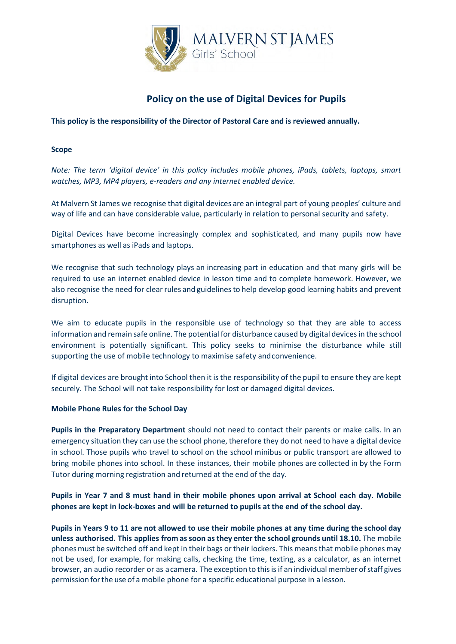

# **Policy on the use of Digital Devices for Pupils**

**This policy is the responsibility of the Director of Pastoral Care and is reviewed annually.**

# **Scope**

*Note: The term 'digital device' in this policy includes mobile phones, iPads, tablets, laptops, smart watches, MP3, MP4 players, e-readers and any internet enabled device.*

At Malvern St James we recognise that digital devices are an integral part of young peoples' culture and way of life and can have considerable value, particularly in relation to personal security and safety.

Digital Devices have become increasingly complex and sophisticated, and many pupils now have smartphones as well as iPads and laptops.

We recognise that such technology plays an increasing part in education and that many girls will be required to use an internet enabled device in lesson time and to complete homework. However, we also recognise the need for clearrules and guidelinesto help develop good learning habits and prevent disruption.

We aim to educate pupils in the responsible use of technology so that they are able to access information and remain safe online. The potential for disturbance caused by digital devices in the school environment is potentially significant. This policy seeks to minimise the disturbance while still supporting the use of mobile technology to maximise safety andconvenience.

If digital devices are brought into School then it is the responsibility of the pupil to ensure they are kept securely. The School will not take responsibility for lost or damaged digital devices.

#### **Mobile Phone Rules for the School Day**

**Pupils in the Preparatory Department** should not need to contact their parents or make calls. In an emergency situation they can use the school phone, therefore they do not need to have a digital device in school. Those pupils who travel to school on the school minibus or public transport are allowed to bring mobile phones into school. In these instances, their mobile phones are collected in by the Form Tutor during morning registration and returned at the end of the day.

# **Pupils in Year 7 and 8 must hand in their mobile phones upon arrival at School each day. Mobile phones are kept in lock-boxes and will be returned to pupils at the end of the school day.**

**Pupils in Years 9 to 11 are not allowed to use their mobile phones at any time during the school day unless authorised. This applies from assoon asthey enter the school grounds until 18.10.** The mobile phonesmust be switched off and kept in their bags or their lockers. This means that mobile phones may not be used, for example, for making calls, checking the time, texting, as a calculator, as an internet browser, an audio recorder or as acamera. The exception to this is if an individual member of staff gives permission forthe use of amobile phone for a specific educational purpose in a lesson.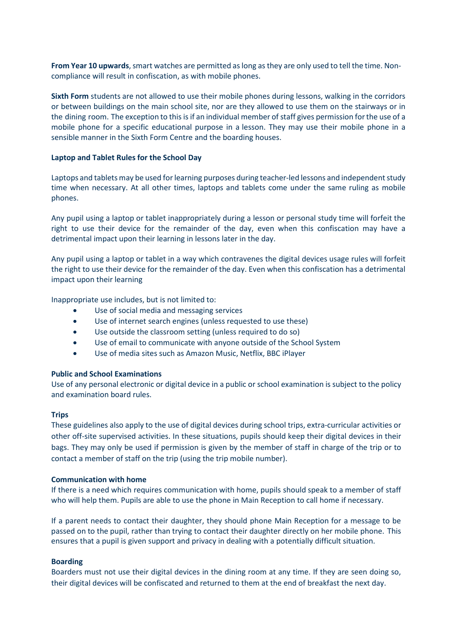**From Year 10 upwards**, smart watches are permitted as long as they are only used to tell the time. Noncompliance will result in confiscation, as with mobile phones.

**Sixth Form** students are not allowed to use their mobile phones during lessons, walking in the corridors or between buildings on the main school site, nor are they allowed to use them on the stairways or in the dining room. The exception to this is if an individual member of staff gives permission for the use of a mobile phone for a specific educational purpose in a lesson. They may use their mobile phone in a sensible manner in the Sixth Form Centre and the boarding houses.

#### **Laptop and Tablet Rules for the School Day**

Laptops and tablets may be used for learning purposes during teacher-led lessons and independent study time when necessary. At all other times, laptops and tablets come under the same ruling as mobile phones.

Any pupil using a laptop or tablet inappropriately during a lesson or personal study time will forfeit the right to use their device for the remainder of the day, even when this confiscation may have a detrimental impact upon their learning in lessons later in the day.

Any pupil using a laptop or tablet in a way which contravenes the digital devices usage rules will forfeit the right to use their device for the remainder of the day. Even when this confiscation has a detrimental impact upon their learning

Inappropriate use includes, but is not limited to:

- Use of social media and messaging services
- Use of internet search engines (unless requested to use these)
- Use outside the classroom setting (unless required to do so)
- Use of email to communicate with anyone outside of the School System
- Use of media sites such as Amazon Music, Netflix, BBC iPlayer

#### **Public and School Examinations**

Use of any personal electronic or digital device in a public or school examination is subject to the policy and examination board rules.

#### **Trips**

These guidelines also apply to the use of digital devices during school trips, extra-curricular activities or other off-site supervised activities. In these situations, pupils should keep their digital devices in their bags. They may only be used if permission is given by the member of staff in charge of the trip or to contact a member of staff on the trip (using the trip mobile number).

#### **Communication with home**

If there is a need which requires communication with home, pupils should speak to a member of staff who will help them. Pupils are able to use the phone in Main Reception to call home if necessary.

If a parent needs to contact their daughter, they should phone Main Reception for a message to be passed on to the pupil, rather than trying to contact their daughter directly on her mobile phone. This ensures that a pupil is given support and privacy in dealing with a potentially difficult situation.

#### **Boarding**

Boarders must not use their digital devices in the dining room at any time. If they are seen doing so, their digital devices will be confiscated and returned to them at the end of breakfast the next day.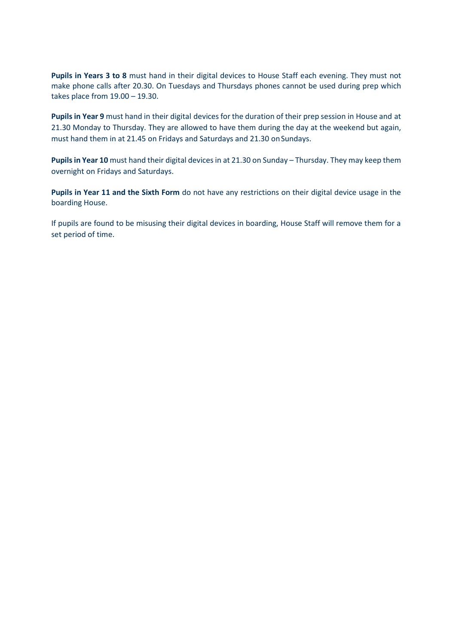**Pupils in Years 3 to 8** must hand in their digital devices to House Staff each evening. They must not make phone calls after 20.30. On Tuesdays and Thursdays phones cannot be used during prep which takes place from 19.00 – 19.30.

Pupils in Year 9 must hand in their digital devices for the duration of their prep session in House and at 21.30 Monday to Thursday. They are allowed to have them during the day at the weekend but again, must hand them in at 21.45 on Fridays and Saturdays and 21.30 on Sundays.

Pupils in Year 10 must hand their digital devices in at 21.30 on Sunday - Thursday. They may keep them overnight on Fridays and Saturdays.

**Pupils in Year 11 and the Sixth Form** do not have any restrictions on their digital device usage in the boarding House.

If pupils are found to be misusing their digital devices in boarding, House Staff will remove them for a set period of time.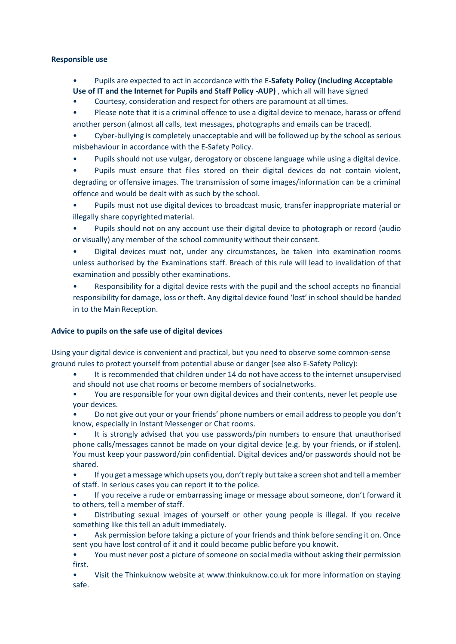#### **Responsible use**

- Pupils are expected to act in accordance with the E**-Safety Policy (including Acceptable**
- **Use of IT and the Internet for Pupils and Staff Policy -AUP)** , which all will have signed
- Courtesy, consideration and respect for others are paramount at all times.
- Please note that it is a criminal offence to use a digital device to menace, harass or offend another person (almost all calls, text messages, photographs and emails can be traced).
- Cyber-bullying is completely unacceptable and will be followed up by the school as serious misbehaviour in accordance with the E-Safety Policy.
- Pupils should not use vulgar, derogatory or obscene language while using a digital device.
- Pupils must ensure that files stored on their digital devices do not contain violent, degrading or offensive images. The transmission of some images/information can be a criminal offence and would be dealt with as such by the school.
- Pupils must not use digital devices to broadcast music, transfer inappropriate material or illegally share copyrightedmaterial.
- Pupils should not on any account use their digital device to photograph or record (audio or visually) any member of the school community without their consent.
- Digital devices must not, under any circumstances, be taken into examination rooms unless authorised by the Examinations staff. Breach of this rule will lead to invalidation of that examination and possibly other examinations.
- Responsibility for a digital device rests with the pupil and the school accepts no financial responsibility for damage, loss or theft. Any digital device found 'lost' in school should be handed in to the Main Reception.

# **Advice to pupils on the safe use of digital devices**

Using your digital device is convenient and practical, but you need to observe some common-sense ground rules to protect yourself from potential abuse or danger (see also E-Safety Policy):

- It is recommended that children under 14 do not have access to the internet unsupervised and should not use chat rooms or become members of socialnetworks.
- You are responsible for your own digital devices and their contents, never let people use your devices.
- Do not give out your or your friends' phone numbers or email address to people you don't know, especially in Instant Messenger or Chat rooms.
- It is strongly advised that you use passwords/pin numbers to ensure that unauthorised phone calls/messages cannot be made on your digital device (e.g. by your friends, or if stolen). You must keep your password/pin confidential. Digital devices and/or passwords should not be shared.
- If you get a message which upsets you, don't reply but take a screen shot and tell a member of staff. In serious cases you can report it to the police.
- If you receive a rude or embarrassing image or message about someone, don't forward it to others, tell a member of staff.
- Distributing sexual images of yourself or other young people is illegal. If you receive something like this tell an adult immediately.
- Ask permission before taking a picture of your friends and think before sending it on. Once sent you have lost control of it and it could become public before you knowit.
- You must never post a picture of someone on social media without asking their permission first.
- Visit the Thinkuknow website at [www.thinkuknow.co.uk](http://www.thinkuknow.co.uk/) for more information on staying safe.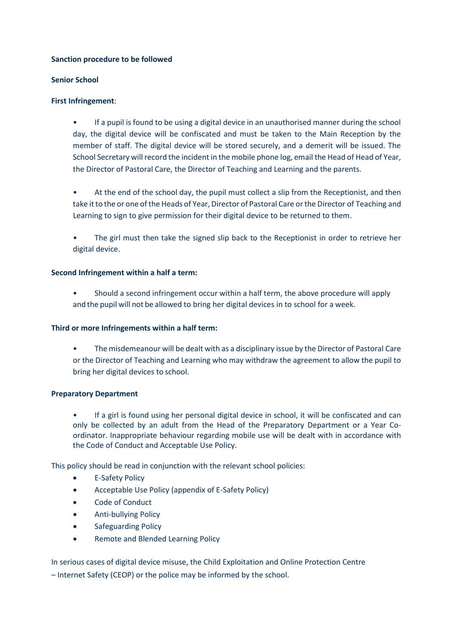# **Sanction procedure to be followed**

# **Senior School**

# **First Infringement**:

- If a pupil is found to be using a digital device in an unauthorised manner during the school day, the digital device will be confiscated and must be taken to the Main Reception by the member of staff. The digital device will be stored securely, and a demerit will be issued. The School Secretary will record the incident in the mobile phone log, email the Head of Head of Year, the Director of Pastoral Care, the Director of Teaching and Learning and the parents.
- At the end of the school day, the pupil must collect a slip from the Receptionist, and then take it to the or one of the Heads of Year, Director of Pastoral Care or the Director of Teaching and Learning to sign to give permission for their digital device to be returned to them.
- The girl must then take the signed slip back to the Receptionist in order to retrieve her digital device.

# **Second Infringement within a half a term:**

• Should a second infringement occur within a half term, the above procedure will apply and the pupil will not be allowed to bring her digital devices in to school for a week.

# **Third or more Infringements within a half term:**

• The misdemeanour will be dealt with as a disciplinary issue by the Director of Pastoral Care or the Director of Teaching and Learning who may withdraw the agreement to allow the pupil to bring her digital devices to school.

# **Preparatory Department**

• If a girl is found using her personal digital device in school, it will be confiscated and can only be collected by an adult from the Head of the Preparatory Department or a Year Coordinator. Inappropriate behaviour regarding mobile use will be dealt with in accordance with the Code of Conduct and Acceptable Use Policy.

This policy should be read in conjunction with the relevant school policies:

- E-Safety Policy
- Acceptable Use Policy (appendix of E-Safety Policy)
- Code of Conduct
- Anti-bullying Policy
- Safeguarding Policy
- Remote and Blended Learning Policy

In serious cases of digital device misuse, the Child Exploitation and Online Protection Centre – Internet Safety (CEOP) or the police may be informed by the school.